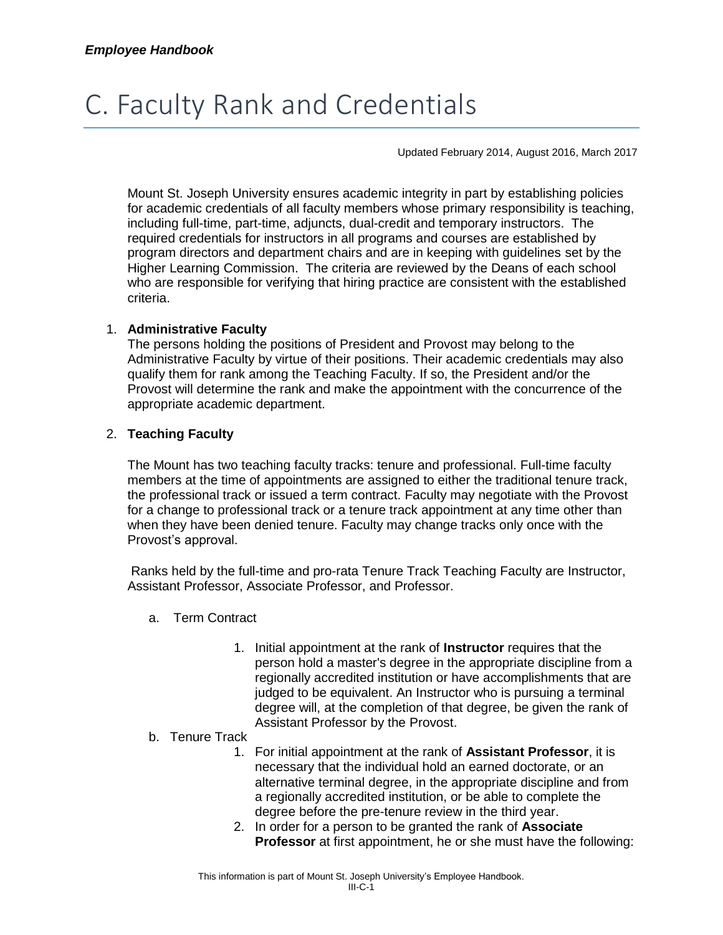# C. Faculty Rank and Credentials

Updated February 2014, August 2016, March 2017

Mount St. Joseph University ensures academic integrity in part by establishing policies for academic credentials of all faculty members whose primary responsibility is teaching, including full-time, part-time, adjuncts, dual-credit and temporary instructors. The required credentials for instructors in all programs and courses are established by program directors and department chairs and are in keeping with guidelines set by the Higher Learning Commission. The criteria are reviewed by the Deans of each school who are responsible for verifying that hiring practice are consistent with the established criteria.

## 1. **Administrative Faculty**

The persons holding the positions of President and Provost may belong to the Administrative Faculty by virtue of their positions. Their academic credentials may also qualify them for rank among the Teaching Faculty. If so, the President and/or the Provost will determine the rank and make the appointment with the concurrence of the appropriate academic department.

## 2. **Teaching Faculty**

The Mount has two teaching faculty tracks: tenure and professional. Full-time faculty members at the time of appointments are assigned to either the traditional tenure track, the professional track or issued a term contract. Faculty may negotiate with the Provost for a change to professional track or a tenure track appointment at any time other than when they have been denied tenure. Faculty may change tracks only once with the Provost's approval.

Ranks held by the full-time and pro-rata Tenure Track Teaching Faculty are Instructor, Assistant Professor, Associate Professor, and Professor.

- a. Term Contract
	- 1. Initial appointment at the rank of **Instructor** requires that the person hold a master's degree in the appropriate discipline from a regionally accredited institution or have accomplishments that are judged to be equivalent. An Instructor who is pursuing a terminal degree will, at the completion of that degree, be given the rank of Assistant Professor by the Provost.

#### b. Tenure Track

- 1. For initial appointment at the rank of **Assistant Professor**, it is necessary that the individual hold an earned doctorate, or an alternative terminal degree, in the appropriate discipline and from a regionally accredited institution, or be able to complete the degree before the pre-tenure review in the third year.
- 2. In order for a person to be granted the rank of **Associate Professor** at first appointment, he or she must have the following: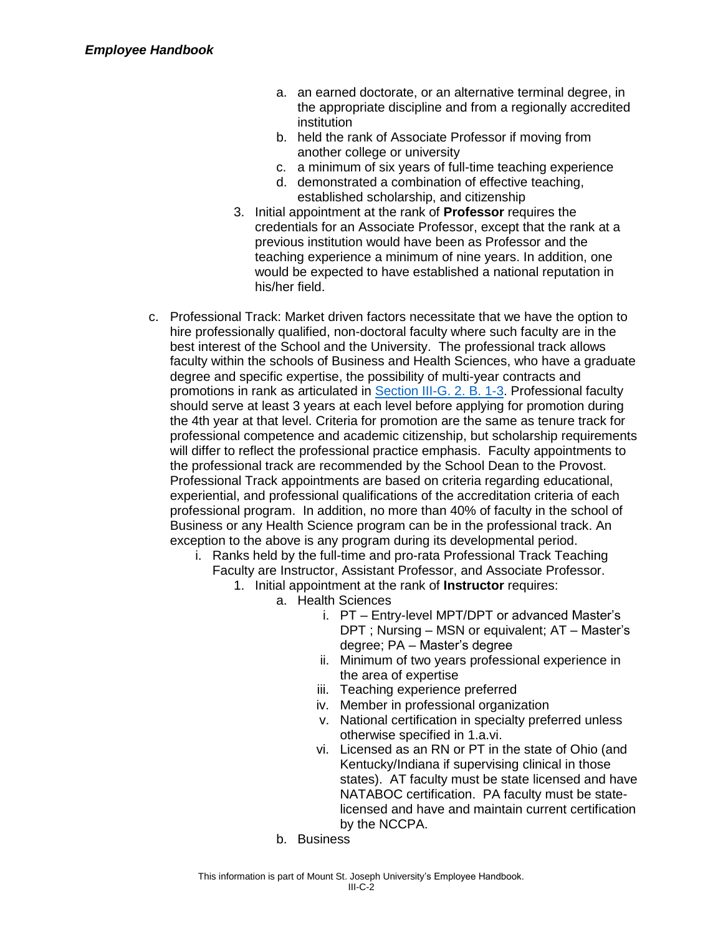- a. an earned doctorate, or an alternative terminal degree, in the appropriate discipline and from a regionally accredited institution
- b. held the rank of Associate Professor if moving from another college or university
- c. a minimum of six years of full-time teaching experience
- d. demonstrated a combination of effective teaching, established scholarship, and citizenship
- 3. Initial appointment at the rank of **Professor** requires the credentials for an Associate Professor, except that the rank at a previous institution would have been as Professor and the teaching experience a minimum of nine years. In addition, one would be expected to have established a national reputation in his/her field.
- c. Professional Track: Market driven factors necessitate that we have the option to hire professionally qualified, non-doctoral faculty where such faculty are in the best interest of the School and the University. The professional track allows faculty within the schools of Business and Health Sciences, who have a graduate degree and specific expertise, the possibility of multi-year contracts and promotions in rank as articulated in [Section III-G. 2. B. 1-3.](https://mymount.msj.edu/ICS/icsfs/G._Evaluations_and_Reviews.pdf?target=436b5ee4-4147-4a50-a8e1-540d62f64a7d) Professional faculty should serve at least 3 years at each level before applying for promotion during the 4th year at that level. Criteria for promotion are the same as tenure track for professional competence and academic citizenship, but scholarship requirements will differ to reflect the professional practice emphasis. Faculty appointments to the professional track are recommended by the School Dean to the Provost. Professional Track appointments are based on criteria regarding educational, experiential, and professional qualifications of the accreditation criteria of each professional program. In addition, no more than 40% of faculty in the school of Business or any Health Science program can be in the professional track. An exception to the above is any program during its developmental period.
	- i. Ranks held by the full-time and pro-rata Professional Track Teaching Faculty are Instructor, Assistant Professor, and Associate Professor.
		- 1. Initial appointment at the rank of **Instructor** requires:
			- a. Health Sciences
				- i. PT Entry-level MPT/DPT or advanced Master's DPT ; Nursing – MSN or equivalent; AT – Master's degree; PA – Master's degree
				- ii. Minimum of two years professional experience in the area of expertise
				- iii. Teaching experience preferred
				- iv. Member in professional organization
				- v. National certification in specialty preferred unless otherwise specified in 1.a.vi.
				- vi. Licensed as an RN or PT in the state of Ohio (and Kentucky/Indiana if supervising clinical in those states). AT faculty must be state licensed and have NATABOC certification. PA faculty must be statelicensed and have and maintain current certification by the NCCPA.
				- b. Business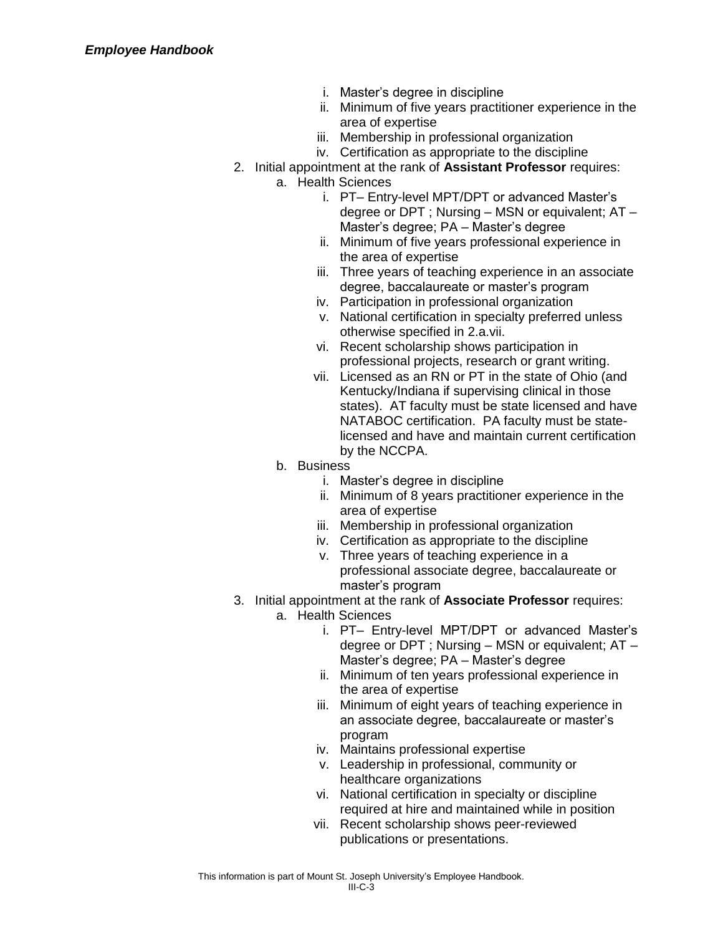- i. Master's degree in discipline
- ii. Minimum of five years practitioner experience in the area of expertise
- iii. Membership in professional organization
- iv. Certification as appropriate to the discipline
- 2. Initial appointment at the rank of **Assistant Professor** requires:
	- a. Health Sciences
		- i. PT– Entry-level MPT/DPT or advanced Master's degree or DPT ; Nursing – MSN or equivalent; AT – Master's degree; PA – Master's degree
		- ii. Minimum of five years professional experience in the area of expertise
		- iii. Three years of teaching experience in an associate degree, baccalaureate or master's program
		- iv. Participation in professional organization
		- v. National certification in specialty preferred unless otherwise specified in 2.a.vii.
		- vi. Recent scholarship shows participation in professional projects, research or grant writing.
		- vii. Licensed as an RN or PT in the state of Ohio (and Kentucky/Indiana if supervising clinical in those states). AT faculty must be state licensed and have NATABOC certification. PA faculty must be statelicensed and have and maintain current certification by the NCCPA.
	- b. Business
		- i. Master's degree in discipline
		- ii. Minimum of 8 years practitioner experience in the area of expertise
		- iii. Membership in professional organization
		- iv. Certification as appropriate to the discipline
		- v. Three years of teaching experience in a professional associate degree, baccalaureate or master's program
- 3. Initial appointment at the rank of **Associate Professor** requires:
	- a. Health Sciences
		- i. PT– Entry-level MPT/DPT or advanced Master's degree or DPT ; Nursing – MSN or equivalent; AT – Master's degree; PA – Master's degree
		- ii. Minimum of ten years professional experience in the area of expertise
		- iii. Minimum of eight years of teaching experience in an associate degree, baccalaureate or master's program
		- iv. Maintains professional expertise
		- v. Leadership in professional, community or healthcare organizations
		- vi. National certification in specialty or discipline required at hire and maintained while in position
		- vii. Recent scholarship shows peer-reviewed publications or presentations.